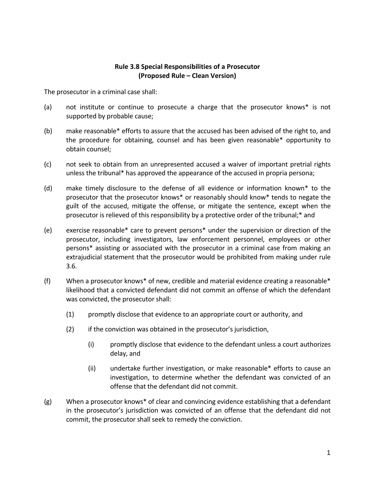## **Rule 3.8 Special Responsibilities of a Prosecutor (Proposed Rule – Clean Version)**

The prosecutor in a criminal case shall:

- (a) not institute or continue to prosecute a charge that the prosecutor knows\* is not supported by probable cause;
- (b) make reasonable\* efforts to assure that the accused has been advised of the right to, and the procedure for obtaining, counsel and has been given reasonable\* opportunity to obtain counsel;
- (c) not seek to obtain from an unrepresented accused a waiver of important pretrial rights unless the tribunal\* has approved the appearance of the accused in propria persona;
- (d) make timely disclosure to the defense of all evidence or information known\* to the prosecutor that the prosecutor knows\* or reasonably should know\* tends to negate the guilt of the accused, mitigate the offense, or mitigate the sentence, except when the prosecutor is relieved of this responsibility by a protective order of the tribunal;\* and
- (e) exercise reasonable\* care to prevent persons\* under the supervision or direction of the prosecutor, including investigators, law enforcement personnel, employees or other persons\* assisting or associated with the prosecutor in a criminal case from making an extrajudicial statement that the prosecutor would be prohibited from making under rule 3.6.
- (f) When a prosecutor knows\* of new, credible and material evidence creating a reasonable\* likelihood that a convicted defendant did not commit an offense of which the defendant was convicted, the prosecutor shall:
	- (1) promptly disclose that evidence to an appropriate court or authority, and
	- (2) if the conviction was obtained in the prosecutor's jurisdiction,
		- (i) promptly disclose that evidence to the defendant unless a court authorizes delay, and
		- (ii) undertake further investigation, or make reasonable\* efforts to cause an investigation, to determine whether the defendant was convicted of an offense that the defendant did not commit.
- (g) When a prosecutor knows\* of clear and convincing evidence establishing that a defendant in the prosecutor's jurisdiction was convicted of an offense that the defendant did not commit, the prosecutor shall seek to remedy the conviction.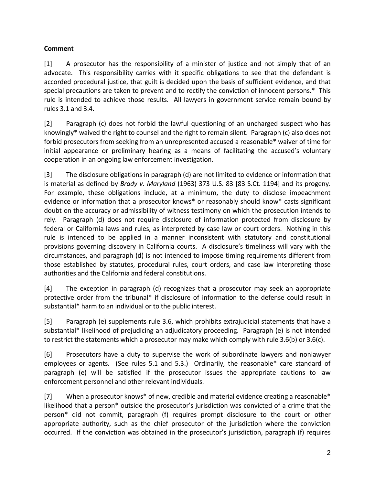## **Comment**

[1] A prosecutor has the responsibility of a minister of justice and not simply that of an advocate. This responsibility carries with it specific obligations to see that the defendant is accorded procedural justice, that guilt is decided upon the basis of sufficient evidence, and that special precautions are taken to prevent and to rectify the conviction of innocent persons.\* This rule is intended to achieve those results. All lawyers in government service remain bound by rules 3.1 and 3.4.

[2] Paragraph (c) does not forbid the lawful questioning of an uncharged suspect who has knowingly\* waived the right to counsel and the right to remain silent. Paragraph (c) also does not forbid prosecutors from seeking from an unrepresented accused a reasonable\* waiver of time for initial appearance or preliminary hearing as a means of facilitating the accused's voluntary cooperation in an ongoing law enforcement investigation.

[3] The disclosure obligations in paragraph (d) are not limited to evidence or information that is material as defined by *Brady v. Maryland* (1963) 373 U.S. 83 [83 S.Ct. 1194] and its progeny. For example, these obligations include, at a minimum, the duty to disclose impeachment evidence or information that a prosecutor knows\* or reasonably should know\* casts significant doubt on the accuracy or admissibility of witness testimony on which the prosecution intends to rely. Paragraph (d) does not require disclosure of information protected from disclosure by federal or California laws and rules, as interpreted by case law or court orders. Nothing in this rule is intended to be applied in a manner inconsistent with statutory and constitutional provisions governing discovery in California courts. A disclosure's timeliness will vary with the circumstances, and paragraph (d) is not intended to impose timing requirements different from those established by statutes, procedural rules, court orders, and case law interpreting those authorities and the California and federal constitutions.

[4] The exception in paragraph (d) recognizes that a prosecutor may seek an appropriate protective order from the tribunal\* if disclosure of information to the defense could result in substantial\* harm to an individual or to the public interest.

[5] Paragraph (e) supplements rule 3.6, which prohibits extrajudicial statements that have a substantial\* likelihood of prejudicing an adjudicatory proceeding. Paragraph (e) is not intended to restrict the statements which a prosecutor may make which comply with rule 3.6(b) or 3.6(c).

[6] Prosecutors have a duty to supervise the work of subordinate lawyers and nonlawyer employees or agents. (See rules 5.1 and 5.3.) Ordinarily, the reasonable\* care standard of paragraph (e) will be satisfied if the prosecutor issues the appropriate cautions to law enforcement personnel and other relevant individuals.

[7] When a prosecutor knows\* of new, credible and material evidence creating a reasonable\* likelihood that a person\* outside the prosecutor's jurisdiction was convicted of a crime that the person\* did not commit, paragraph (f) requires prompt disclosure to the court or other appropriate authority, such as the chief prosecutor of the jurisdiction where the conviction occurred. If the conviction was obtained in the prosecutor's jurisdiction, paragraph (f) requires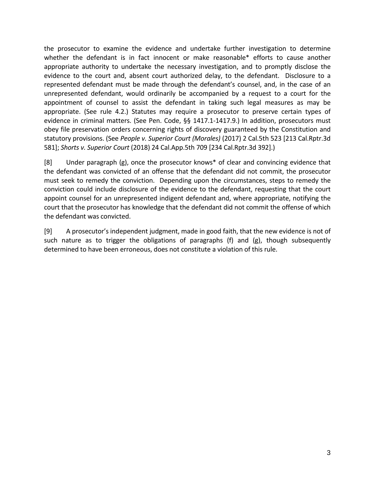the prosecutor to examine the evidence and undertake further investigation to determine whether the defendant is in fact innocent or make reasonable\* efforts to cause another appropriate authority to undertake the necessary investigation, and to promptly disclose the evidence to the court and, absent court authorized delay, to the defendant. Disclosure to a represented defendant must be made through the defendant's counsel, and, in the case of an unrepresented defendant, would ordinarily be accompanied by a request to a court for the appointment of counsel to assist the defendant in taking such legal measures as may be appropriate. (See rule 4.2.) Statutes may require a prosecutor to preserve certain types of evidence in criminal matters. (See Pen. Code, §§ 1417.1-1417.9.) In addition, prosecutors must obey file preservation orders concerning rights of discovery guaranteed by the Constitution and statutory provisions. (See *People v. Superior Court (Morales)* (2017) 2 Cal.5th 523 [213 Cal.Rptr.3d 581]; *Shorts v. Superior Court* (2018) 24 Cal.App.5th 709 [234 Cal.Rptr.3d 392].)

[8] Under paragraph (g), once the prosecutor knows<sup>\*</sup> of clear and convincing evidence that the defendant was convicted of an offense that the defendant did not commit, the prosecutor must seek to remedy the conviction. Depending upon the circumstances, steps to remedy the conviction could include disclosure of the evidence to the defendant, requesting that the court appoint counsel for an unrepresented indigent defendant and, where appropriate, notifying the court that the prosecutor has knowledge that the defendant did not commit the offense of which the defendant was convicted.

[9] A prosecutor's independent judgment, made in good faith, that the new evidence is not of such nature as to trigger the obligations of paragraphs (f) and (g), though subsequently determined to have been erroneous, does not constitute a violation of this rule.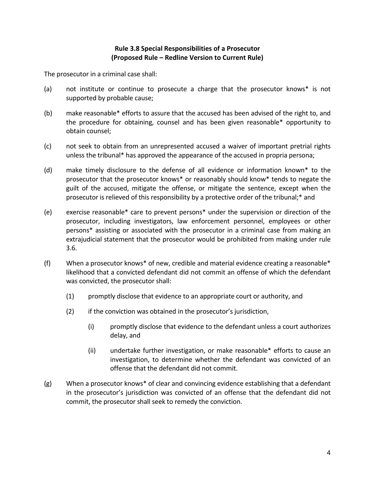## **Rule 3.8 Special Responsibilities of a Prosecutor (Proposed Rule – Redline Version to Current Rule)**

The prosecutor in a criminal case shall:

- (a) not institute or continue to prosecute a charge that the prosecutor knows\* is not supported by probable cause;
- (b) make reasonable\* efforts to assure that the accused has been advised of the right to, and the procedure for obtaining, counsel and has been given reasonable\* opportunity to obtain counsel;
- (c) not seek to obtain from an unrepresented accused a waiver of important pretrial rights unless the tribunal\* has approved the appearance of the accused in propria persona;
- (d) make timely disclosure to the defense of all evidence or information known\* to the prosecutor that the prosecutor knows\* or reasonably should know\* tends to negate the guilt of the accused, mitigate the offense, or mitigate the sentence, except when the prosecutor is relieved of this responsibility by a protective order of the tribunal;\* and
- (e) exercise reasonable\* care to prevent persons\* under the supervision or direction of the prosecutor, including investigators, law enforcement personnel, employees or other persons\* assisting or associated with the prosecutor in a criminal case from making an extrajudicial statement that the prosecutor would be prohibited from making under rule 3.6.
- (f) When a prosecutor knows\* of new, credible and material evidence creating a reasonable\* likelihood that a convicted defendant did not commit an offense of which the defendant was convicted, the prosecutor shall:
	- (1) promptly disclose that evidence to an appropriate court or authority, and
	- (2) if the conviction was obtained in the prosecutor's jurisdiction,
		- (i) promptly disclose that evidence to the defendant unless a court authorizes delay, and
		- (ii) undertake further investigation, or make reasonable\* efforts to cause an investigation, to determine whether the defendant was convicted of an offense that the defendant did not commit.
- (g) When a prosecutor knows\* of clear and convincing evidence establishing that a defendant in the prosecutor's jurisdiction was convicted of an offense that the defendant did not commit, the prosecutor shall seek to remedy the conviction.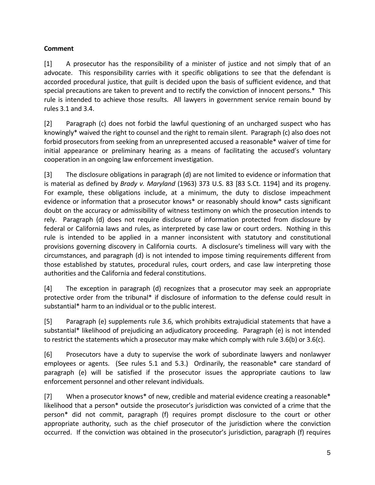## **Comment**

[1] A prosecutor has the responsibility of a minister of justice and not simply that of an advocate. This responsibility carries with it specific obligations to see that the defendant is accorded procedural justice, that guilt is decided upon the basis of sufficient evidence, and that special precautions are taken to prevent and to rectify the conviction of innocent persons.\* This rule is intended to achieve those results. All lawyers in government service remain bound by rules 3.1 and 3.4.

[2] Paragraph (c) does not forbid the lawful questioning of an uncharged suspect who has knowingly\* waived the right to counsel and the right to remain silent. Paragraph (c) also does not forbid prosecutors from seeking from an unrepresented accused a reasonable\* waiver of time for initial appearance or preliminary hearing as a means of facilitating the accused's voluntary cooperation in an ongoing law enforcement investigation.

[3] The disclosure obligations in paragraph (d) are not limited to evidence or information that is material as defined by *Brady v. Maryland* (1963) 373 U.S. 83 [83 S.Ct. 1194] and its progeny. For example, these obligations include, at a minimum, the duty to disclose impeachment evidence or information that a prosecutor knows\* or reasonably should know\* casts significant doubt on the accuracy or admissibility of witness testimony on which the prosecution intends to rely. Paragraph (d) does not require disclosure of information protected from disclosure by federal or California laws and rules, as interpreted by case law or court orders. Nothing in this rule is intended to be applied in a manner inconsistent with statutory and constitutional provisions governing discovery in California courts. A disclosure's timeliness will vary with the circumstances, and paragraph (d) is not intended to impose timing requirements different from those established by statutes, procedural rules, court orders, and case law interpreting those authorities and the California and federal constitutions.

[4] The exception in paragraph (d) recognizes that a prosecutor may seek an appropriate protective order from the tribunal\* if disclosure of information to the defense could result in substantial\* harm to an individual or to the public interest.

[5] Paragraph (e) supplements rule 3.6, which prohibits extrajudicial statements that have a substantial\* likelihood of prejudicing an adjudicatory proceeding. Paragraph (e) is not intended to restrict the statements which a prosecutor may make which comply with rule 3.6(b) or 3.6(c).

[6] Prosecutors have a duty to supervise the work of subordinate lawyers and nonlawyer employees or agents. (See rules 5.1 and 5.3.) Ordinarily, the reasonable\* care standard of paragraph (e) will be satisfied if the prosecutor issues the appropriate cautions to law enforcement personnel and other relevant individuals.

[7] When a prosecutor knows\* of new, credible and material evidence creating a reasonable\* likelihood that a person\* outside the prosecutor's jurisdiction was convicted of a crime that the person\* did not commit, paragraph (f) requires prompt disclosure to the court or other appropriate authority, such as the chief prosecutor of the jurisdiction where the conviction occurred. If the conviction was obtained in the prosecutor's jurisdiction, paragraph (f) requires